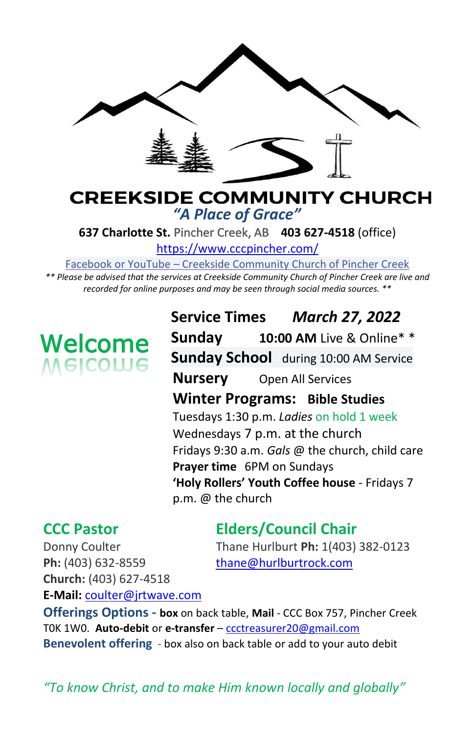

# **CREEKSIDE COMMUNITY CHURCH** *"A Place of Grace"*

**637 Charlotte St.** Pincher Creek, AB **403 627-4518** (office)

<https://www.cccpincher.com/>

Facebook or YouTube – Creekside Community Church of Pincher Creek

*\*\* Please be advised that the services at Creekside Community Church of Pincher Creek are live and recorded for online purposes and may be seen through social media sources. \*\**

# **Welcome**<br>Melcolue

**Service Times** *March 27, 2022* **Sunday 10:00 AM** Live & Online\* \* **Sunday School** during 10:00 AM Service **Nursery** Open All Services **Winter Programs: Bible Studies** Tuesdays 1:30 p.m. *Ladies* on hold 1 week Wednesdays 7 p.m. at the church Fridays 9:30 a.m. *Gals* @ the church, child care **Prayer time** 6PM on Sundays **'Holy Rollers' Youth Coffee house** - Fridays 7 p.m. @ the church

# **CCC Pastor Elders/Council Chair**

Donny Coulter Thane Hurlburt **Ph:** 1(403) 382-0123

Ph: (403) 632-8559 [thane@hurlburtrock.com](mailto:thane@hurlburtrock.com) **Church:** (403) 627-4518 **E-Mail:** [coulter@jrtwave.com](mailto:coulter@jrtwave.com)

**Offerings Options - box** on back table, **Mail** - CCC Box 757, Pincher Creek T0K 1W0. **Auto-debit** or **e-transfer** – [ccctreasurer20@gmail.com](mailto:ccctreasurer20@gmail.com) **Benevolent offering** - box also on back table or add to your auto debit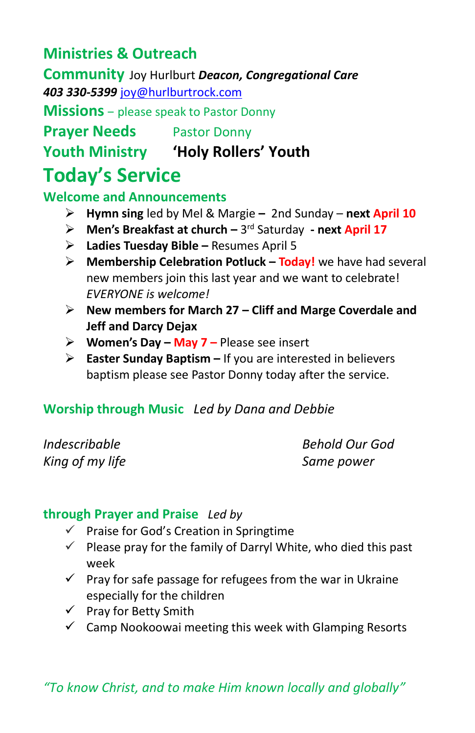# **Ministries & Outreach**

**Community** Joy Hurlburt *Deacon, Congregational Care* 

*403 330-5399* [joy@hurlburtrock.com](mailto:joy@hurlburtrock.com)

**Missions** – please speak to Pastor Donny

**Prayer Needs** Pastor Donny

**Youth Ministry 'Holy Rollers' Youth**

# **Today's Service**

#### **Welcome and Announcements**

- ➢ **Hymn sing** led by Mel & Margie **–** 2nd Sunday **next April 10**
- > Men's Breakfast at church 3<sup>rd</sup> Saturday next April 17
- ➢ **Ladies Tuesday Bible –** Resumes April 5
- ➢ **Membership Celebration Potluck – Today!** we have had several new members join this last year and we want to celebrate! *EVERYONE is welcome!*
- ➢ **New members for March 27 – Cliff and Marge Coverdale and Jeff and Darcy Dejax**
- ➢ **Women's Day – May 7 –** Please see insert
- ➢ **Easter Sunday Baptism –** If you are interested in believers baptism please see Pastor Donny today after the service.

### **Worship through Music** *Led by Dana and Debbie*

*King of my life Same power*

*Indescribable Behold Our God*

### **through Prayer and Praise** *Led by*

- $\checkmark$  Praise for God's Creation in Springtime
- $\checkmark$  Please pray for the family of Darryl White, who died this past week
- $\checkmark$  Pray for safe passage for refugees from the war in Ukraine especially for the children
- ✓ Pray for Betty Smith
- $\checkmark$  Camp Nookoowai meeting this week with Glamping Resorts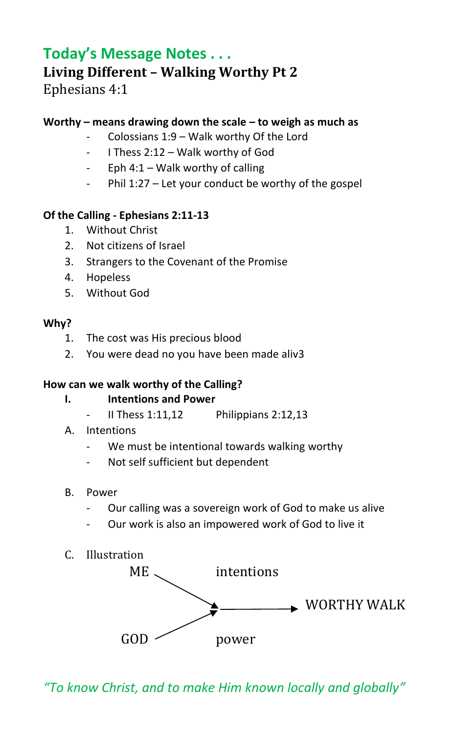## **Today's Message Notes . . . Living Different – Walking Worthy Pt 2** Ephesians 4:1

#### **Worthy – means drawing down the scale – to weigh as much as**

- Colossians  $1:9$  Walk worthy Of the Lord
- I Thess 2:12 Walk worthy of God
- Eph  $4:1 -$  Walk worthy of calling
- Phil 1:27 Let your conduct be worthy of the gospel

#### **Of the Calling - Ephesians 2:11-13**

- 1. Without Christ
- 2. Not citizens of Israel
- 3. Strangers to the Covenant of the Promise
- 4. Hopeless
- 5. Without God

#### **Why?**

- 1. The cost was His precious blood
- 2. You were dead no you have been made aliv3

#### **How can we walk worthy of the Calling?**

- **I. Intentions and Power**
	- II Thess  $1:11,12$  Philippians  $2:12,13$
- A. Intentions
	- We must be intentional towards walking worthy
	- Not self sufficient but dependent
- B. Power
	- Our calling was a sovereign work of God to make us alive
	- Our work is also an impowered work of God to live it
- C. Illustration